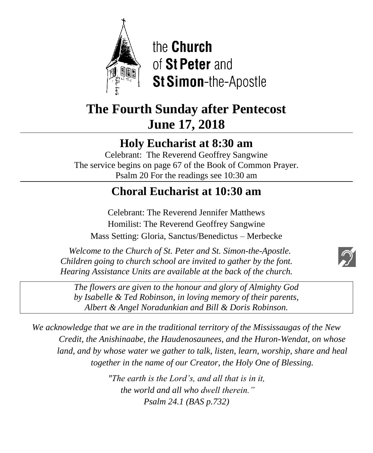

the **Church** of St Peter and St Simon-the-Apostle

# **The Fourth Sunday after Pentecost June 17, 2018**

# **Holy Eucharist at 8:30 am**

Celebrant: The Reverend Geoffrey Sangwine The service begins on page 67 of the Book of Common Prayer. Psalm 20 For the readings see 10:30 am

# **Choral Eucharist at 10:30 am**

Celebrant: The Reverend Jennifer Matthews Homilist: The Reverend Geoffrey Sangwine Mass Setting: Gloria, Sanctus/Benedictus – Merbecke  $\ddot{\phantom{0}}$ 

 *Welcome to the Church of St. Peter and St. Simon-the-Apostle. Children going to church school are invited to gather by the font. Hearing Assistance Units are available at the back of the church.*

*The flowers are given to the honour and glory of Almighty God by Isabelle & Ted Robinson, in loving memory of their parents, Albert & Angel Noradunkian and Bill & Doris Robinson.*

*We acknowledge that we are in the traditional territory of the Mississaugas of the New Credit, the Anishinaabe, the Haudenosaunees, and the Huron-Wendat, on whose land, and by whose water we gather to talk, listen, learn, worship, share and heal together in the name of our Creator, the Holy One of Blessing.*

> *"The earth is the Lord's, and all that is in it, the world and all who dwell therein." Psalm 24.1 (BAS p.732)*

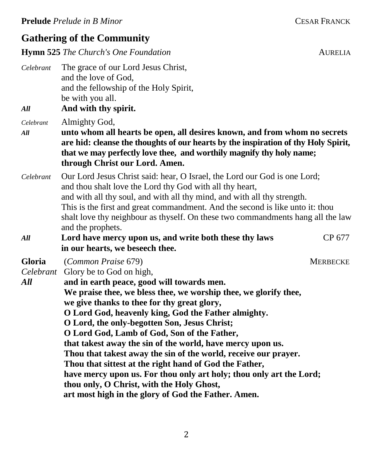## **Gathering of the Community**

**Hymn 525** *The Church's One Foundation* **AURELIA** 

*Celebrant* The grace of our Lord Jesus Christ, and the love of God, and the fellowship of the Holy Spirit, be with you all.

*All* **And with thy spirit.**

*Celebrant* Almighty God,

- *All* **unto whom all hearts be open, all desires known, and from whom no secrets are hid: cleanse the thoughts of our hearts by the inspiration of thy Holy Spirit, that we may perfectly love thee, and worthily magnify thy holy name; through Christ our Lord. Amen.**
- *Celebrant* Our Lord Jesus Christ said: hear, O Israel, the Lord our God is one Lord; and thou shalt love the Lord thy God with all thy heart, and with all thy soul, and with all thy mind, and with all thy strength. This is the first and great commandment. And the second is like unto it: thou shalt love thy neighbour as thyself. On these two commandments hang all the law and the prophets.
- *All* **Lord have mercy upon us, and write both these thy laws** CP 677 **in our hearts, we beseech thee.**

**Gloria** (*Common Praise* 679) MERBECKE

*Celebrant* Glory be to God on high,

*All* **and in earth peace, good will towards men. We praise thee, we bless thee, we worship thee, we glorify thee, we give thanks to thee for thy great glory, O Lord God, heavenly king, God the Father almighty. O Lord, the only-begotten Son, Jesus Christ; O Lord God, Lamb of God, Son of the Father, that takest away the sin of the world, have mercy upon us. Thou that takest away the sin of the world, receive our prayer. Thou that sittest at the right hand of God the Father, have mercy upon us. For thou only art holy; thou only art the Lord; thou only, O Christ, with the Holy Ghost, art most high in the glory of God the Father. Amen.**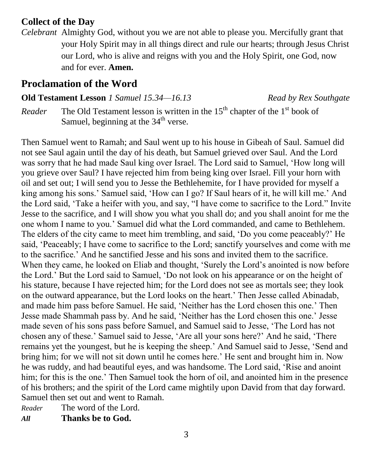## **Collect of the Day**

*Celebrant* Almighty God, without you we are not able to please you. Mercifully grant that your Holy Spirit may in all things direct and rule our hearts; through Jesus Christ our Lord, who is alive and reigns with you and the Holy Spirit, one God, now and for ever. **Amen.**

## **Proclamation of the Word**

### **Old Testament Lesson** *1 Samuel 15.34—16.13 Read by Rex Southgate*

*Reader* The Old Testament lesson is written in the  $15<sup>th</sup>$  chapter of the  $1<sup>st</sup>$  book of Samuel, beginning at the  $34<sup>th</sup>$  verse.

Then Samuel went to Ramah; and Saul went up to his house in Gibeah of Saul. Samuel did not see Saul again until the day of his death, but Samuel grieved over Saul. And the Lord was sorry that he had made Saul king over Israel. The Lord said to Samuel, 'How long will you grieve over Saul? I have rejected him from being king over Israel. Fill your horn with oil and set out; I will send you to Jesse the Bethlehemite, for I have provided for myself a king among his sons.' Samuel said, 'How can I go? If Saul hears of it, he will kill me.' And the Lord said, 'Take a heifer with you, and say, "I have come to sacrifice to the Lord." Invite Jesse to the sacrifice, and I will show you what you shall do; and you shall anoint for me the one whom I name to you.' Samuel did what the Lord commanded, and came to Bethlehem. The elders of the city came to meet him trembling, and said, 'Do you come peaceably?' He said, 'Peaceably; I have come to sacrifice to the Lord; sanctify yourselves and come with me to the sacrifice.' And he sanctified Jesse and his sons and invited them to the sacrifice. When they came, he looked on Eliab and thought, 'Surely the Lord's anointed is now before the Lord.' But the Lord said to Samuel, 'Do not look on his appearance or on the height of his stature, because I have rejected him; for the Lord does not see as mortals see; they look on the outward appearance, but the Lord looks on the heart.' Then Jesse called Abinadab, and made him pass before Samuel. He said, 'Neither has the Lord chosen this one.' Then Jesse made Shammah pass by. And he said, 'Neither has the Lord chosen this one.' Jesse made seven of his sons pass before Samuel, and Samuel said to Jesse, 'The Lord has not chosen any of these.' Samuel said to Jesse, 'Are all your sons here?' And he said, 'There remains yet the youngest, but he is keeping the sheep.' And Samuel said to Jesse, 'Send and bring him; for we will not sit down until he comes here.' He sent and brought him in. Now he was ruddy, and had beautiful eyes, and was handsome. The Lord said, 'Rise and anoint him; for this is the one.' Then Samuel took the horn of oil, and anointed him in the presence of his brothers; and the spirit of the Lord came mightily upon David from that day forward. Samuel then set out and went to Ramah.

*Reader* The word of the Lord. *All* **Thanks be to God.**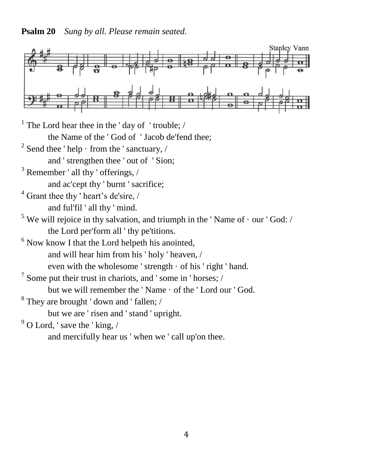**Psalm 20** *Sung by all. Please remain seated.*



<sup>1</sup> The Lord hear thee in the 'day of 'trouble;  $/$ the Name of the ' God of ' Jacob de'fend thee;  $2^2$  Send thee ' help  $\cdot$  from the ' sanctuary, / and ' strengthen thee ' out of ' Sion;  $3$  Remember ' all thy ' offerings, / and ac'cept thy ' burnt ' sacrifice;  $4$  Grant thee thy ' heart's de'sire, / and ful'fil ' all thy ' mind.  $5$  We will rejoice in thy salvation, and triumph in the 'Name of  $\cdot$  our 'God: / the Lord per'form all ' thy pe'titions. <sup>6</sup> Now know I that the Lord helpeth his anointed, and will hear him from his ' holy ' heaven, / even with the wholesome ' strength · of his ' right ' hand.  $7$  Some put their trust in chariots, and ' some in ' horses;  $\sqrt{ }$ but we will remember the ' Name · of the ' Lord our ' God.  $8$  They are brought 'down and ' fallen; / but we are ' risen and ' stand ' upright.  $9^9$  O Lord, ' save the ' king, /

and mercifully hear us ' when we ' call up'on thee.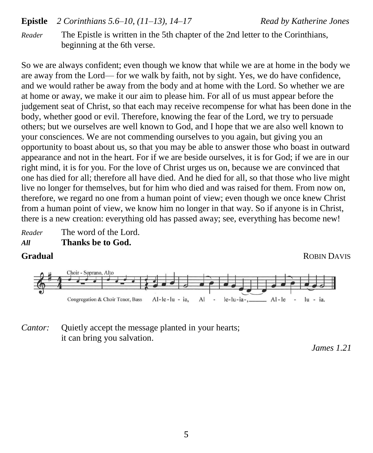### **Epistle** *2 Corinthians 5.6–10, (11–13), 14–17 Read by Katherine Jones*

*Reader* The Epistle is written in the 5th chapter of the 2nd letter to the Corinthians, beginning at the 6th verse.

So we are always confident; even though we know that while we are at home in the body we are away from the Lord— for we walk by faith, not by sight. Yes, we do have confidence, and we would rather be away from the body and at home with the Lord. So whether we are at home or away, we make it our aim to please him. For all of us must appear before the judgement seat of Christ, so that each may receive recompense for what has been done in the body, whether good or evil. Therefore, knowing the fear of the Lord, we try to persuade others; but we ourselves are well known to God, and I hope that we are also well known to your consciences. We are not commending ourselves to you again, but giving you an opportunity to boast about us, so that you may be able to answer those who boast in outward appearance and not in the heart. For if we are beside ourselves, it is for God; if we are in our right mind, it is for you. For the love of Christ urges us on, because we are convinced that one has died for all; therefore all have died. And he died for all, so that those who live might live no longer for themselves, but for him who died and was raised for them. From now on, therefore, we regard no one from a human point of view; even though we once knew Christ from a human point of view, we know him no longer in that way. So if anyone is in Christ, there is a new creation: everything old has passed away; see, everything has become new!

*Reader* The word of the Lord. *All* **Thanks be to God.**





## *Cantor:* Quietly accept the message planted in your hearts; it can bring you salvation.

*James 1.21*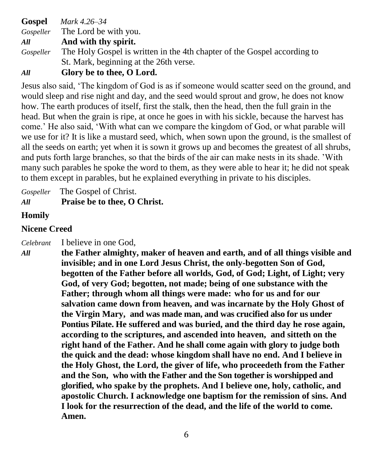**Gospel** *Mark 4.26–34 Gospeller* The Lord be with you. *All* **And with thy spirit.** *Gospeller* The Holy Gospel is written in the 4th chapter of the Gospel according to St. Mark, beginning at the 26th verse.

*All* **Glory be to thee, O Lord.**

Jesus also said, 'The kingdom of God is as if someone would scatter seed on the ground, and would sleep and rise night and day, and the seed would sprout and grow, he does not know how. The earth produces of itself, first the stalk, then the head, then the full grain in the head. But when the grain is ripe, at once he goes in with his sickle, because the harvest has come.' He also said, 'With what can we compare the kingdom of God, or what parable will we use for it? It is like a mustard seed, which, when sown upon the ground, is the smallest of all the seeds on earth; yet when it is sown it grows up and becomes the greatest of all shrubs, and puts forth large branches, so that the birds of the air can make nests in its shade. 'With many such parables he spoke the word to them, as they were able to hear it; he did not speak to them except in parables, but he explained everything in private to his disciples.

*Gospeller* The Gospel of Christ.

*All* **Praise be to thee, O Christ.**

## **Homily**

## **Nicene Creed**

*Celebrant* I believe in one God,

*All* **the Father almighty, maker of heaven and earth, and of all things visible and invisible; and in one Lord Jesus Christ, the only-begotten Son of God, begotten of the Father before all worlds, God, of God; Light, of Light; very God, of very God; begotten, not made; being of one substance with the Father; through whom all things were made: who for us and for our salvation came down from heaven, and was incarnate by the Holy Ghost of the Virgin Mary, and was made man, and was crucified also for us under Pontius Pilate. He suffered and was buried, and the third day he rose again, according to the scriptures, and ascended into heaven, and sitteth on the right hand of the Father. And he shall come again with glory to judge both the quick and the dead: whose kingdom shall have no end. And I believe in the Holy Ghost, the Lord, the giver of life, who proceedeth from the Father and the Son, who with the Father and the Son together is worshipped and glorified, who spake by the prophets. And I believe one, holy, catholic, and apostolic Church. I acknowledge one baptism for the remission of sins. And I look for the resurrection of the dead, and the life of the world to come. Amen.**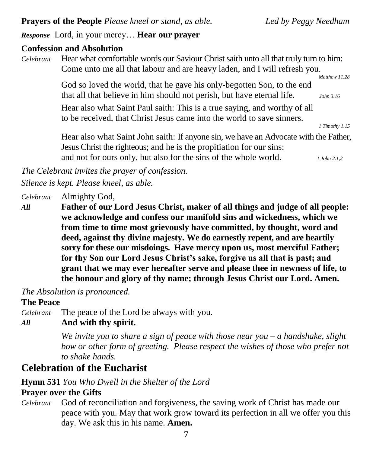**Prayers of the People** *Please kneel or stand, as able. Led by Peggy Needham*

*Response* Lord, in your mercy… **Hear our prayer**

#### **Confession and Absolution**

*Celebrant* Hear what comfortable words our Saviour Christ saith unto all that truly turn to him: Come unto me all that labour and are heavy laden, and I will refresh you.  *Matthew 11.28*

God so loved the world, that he gave his only-begotten Son, to the end that all that believe in him should not perish, but have eternal life. *John 3.16*

Hear also what Saint Paul saith: This is a true saying, and worthy of all to be received, that Christ Jesus came into the world to save sinners.

*1 Timothy 1.15*

Hear also what Saint John saith: If anyone sin, we have an Advocate with the Father, Jesus Christ the righteous; and he is the propitiation for our sins: and not for ours only, but also for the sins of the whole world. *1 John 2.1,2*

*The Celebrant invites the prayer of confession.*

*Silence is kept. Please kneel, as able.*

*Celebrant* Almighty God,

*All* **Father of our Lord Jesus Christ, maker of all things and judge of all people: we acknowledge and confess our manifold sins and wickedness, which we from time to time most grievously have committed, by thought, word and deed, against thy divine majesty. We do earnestly repent, and are heartily sorry for these our misdoings. Have mercy upon us, most merciful Father; for thy Son our Lord Jesus Christ's sake, forgive us all that is past; and grant that we may ever hereafter serve and please thee in newness of life, to the honour and glory of thy name; through Jesus Christ our Lord. Amen.**

*The Absolution is pronounced.*

#### **The Peace**

*Celebrant* The peace of the Lord be always with you.

### *All* **And with thy spirit.**

*We invite you to share a sign of peace with those near you – a handshake, slight bow or other form of greeting. Please respect the wishes of those who prefer not to shake hands.*

## **Celebration of the Eucharist**

### **Hymn 531** *You Who Dwell in the Shelter of the Lord*

## **Prayer over the Gifts**

*Celebrant* God of reconciliation and forgiveness, the saving work of Christ has made our peace with you. May that work grow toward its perfection in all we offer you this day. We ask this in his name. **Amen.**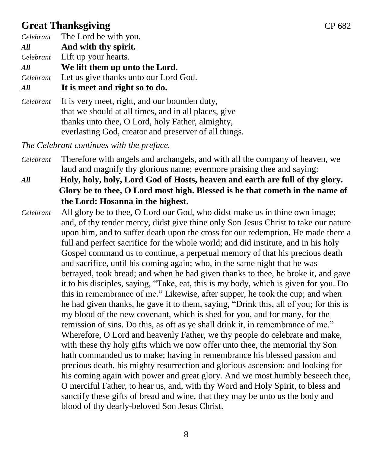## **Great Thanksgiving CP 682**

*Celebrant* The Lord be with you.

*All* **And with thy spirit.**

*Celebrant* Lift up your hearts.

*All* **We lift them up unto the Lord.**

*Celebrant* Let us give thanks unto our Lord God.

## *All* **It is meet and right so to do.**

*Celebrant* It is very meet, right, and our bounden duty, that we should at all times, and in all places, give thanks unto thee, O Lord, holy Father, almighty, everlasting God, creator and preserver of all things.

*The Celebrant continues with the preface.* 

- *Celebrant* Therefore with angels and archangels, and with all the company of heaven, we laud and magnify thy glorious name; evermore praising thee and saying:
- *All* **Holy, holy, holy, Lord God of Hosts, heaven and earth are full of thy glory. Glory be to thee, O Lord most high. Blessed is he that cometh in the name of the Lord: Hosanna in the highest.**
- *Celebrant* All glory be to thee, O Lord our God, who didst make us in thine own image; and, of thy tender mercy, didst give thine only Son Jesus Christ to take our nature upon him, and to suffer death upon the cross for our redemption. He made there a full and perfect sacrifice for the whole world; and did institute, and in his holy Gospel command us to continue, a perpetual memory of that his precious death and sacrifice, until his coming again; who, in the same night that he was betrayed, took bread; and when he had given thanks to thee, he broke it, and gave it to his disciples, saying, "Take, eat, this is my body, which is given for you. Do this in remembrance of me." Likewise, after supper, he took the cup; and when he had given thanks, he gave it to them, saying, "Drink this, all of you; for this is my blood of the new covenant, which is shed for you, and for many, for the remission of sins. Do this, as oft as ye shall drink it, in remembrance of me." Wherefore, O Lord and heavenly Father, we thy people do celebrate and make, with these thy holy gifts which we now offer unto thee, the memorial thy Son hath commanded us to make; having in remembrance his blessed passion and precious death, his mighty resurrection and glorious ascension; and looking for his coming again with power and great glory. And we most humbly beseech thee, O merciful Father, to hear us, and, with thy Word and Holy Spirit, to bless and sanctify these gifts of bread and wine, that they may be unto us the body and blood of thy dearly-beloved Son Jesus Christ.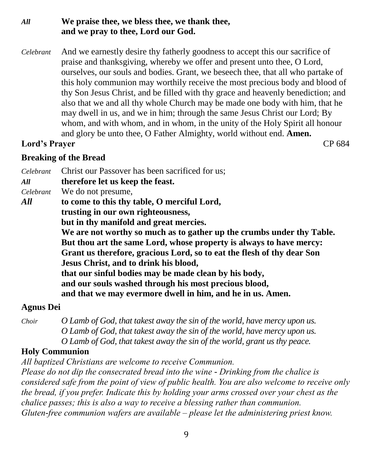## *All* **We praise thee, we bless thee, we thank thee, and we pray to thee, Lord our God.**

*Celebrant* And we earnestly desire thy fatherly goodness to accept this our sacrifice of praise and thanksgiving, whereby we offer and present unto thee, O Lord, ourselves, our souls and bodies. Grant, we beseech thee, that all who partake of this holy communion may worthily receive the most precious body and blood of thy Son Jesus Christ, and be filled with thy grace and heavenly benediction; and also that we and all thy whole Church may be made one body with him, that he may dwell in us, and we in him; through the same Jesus Christ our Lord; By whom, and with whom, and in whom, in the unity of the Holy Spirit all honour and glory be unto thee, O Father Almighty, world without end. **Amen.**

## **Lord's Prayer** CP 684

## **Breaking of the Bread**

*Celebrant* Christ our Passover has been sacrificed for us;

*All* **therefore let us keep the feast.**

*Celebrant* We do not presume,

- *All* **to come to this thy table, O merciful Lord,** 
	- **trusting in our own righteousness,**

**but in thy manifold and great mercies.** 

**We are not worthy so much as to gather up the crumbs under thy Table. But thou art the same Lord, whose property is always to have mercy: Grant us therefore, gracious Lord, so to eat the flesh of thy dear Son Jesus Christ, and to drink his blood, that our sinful bodies may be made clean by his body, and our souls washed through his most precious blood, and that we may evermore dwell in him, and he in us. Amen.**

## **Agnus Dei**

*Choir O Lamb of God, that takest away the sin of the world, have mercy upon us. O Lamb of God, that takest away the sin of the world, have mercy upon us. O Lamb of God, that takest away the sin of the world, grant us thy peace.*

## **Holy Communion**

*All baptized Christians are welcome to receive Communion.*

*Please do not dip the consecrated bread into the wine - Drinking from the chalice is considered safe from the point of view of public health. You are also welcome to receive only the bread, if you prefer. Indicate this by holding your arms crossed over your chest as the chalice passes; this is also a way to receive a blessing rather than communion. Gluten-free communion wafers are available – please let the administering priest know.*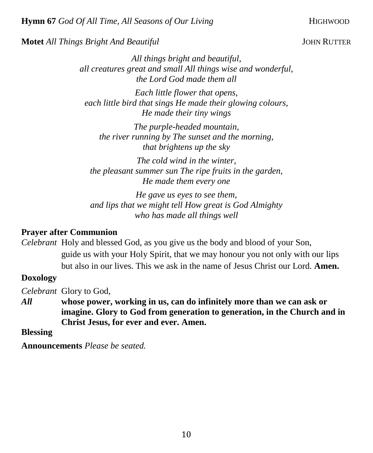#### **Motet** *All Things Bright And Beautiful* **JOHN RUTTER**

*All things bright and beautiful, all creatures great and small All things wise and wonderful, the Lord God made them all*

*Each little flower that opens, each little bird that sings He made their glowing colours, He made their tiny wings*

*The purple-headed mountain, the river running by The sunset and the morning, that brightens up the sky*

*The cold wind in the winter, the pleasant summer sun The ripe fruits in the garden, He made them every one*

*He gave us eyes to see them, and lips that we might tell How great is God Almighty who has made all things well*

#### **Prayer after Communion**

*Celebrant* Holy and blessed God, as you give us the body and blood of your Son, guide us with your Holy Spirit, that we may honour you not only with our lips but also in our lives. This we ask in the name of Jesus Christ our Lord. **Amen.**

### **Doxology**

*Celebrant* Glory to God,

*All* **whose power, working in us, can do infinitely more than we can ask or imagine. Glory to God from generation to generation, in the Church and in Christ Jesus, for ever and ever. Amen.**

#### **Blessing**

**Announcements** *Please be seated.*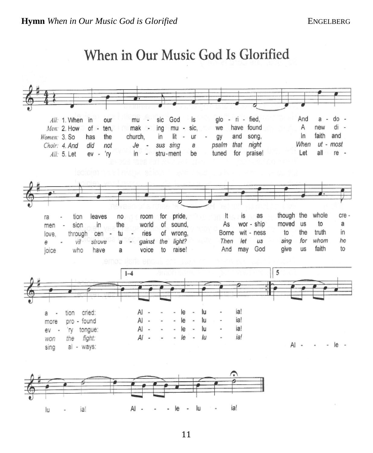#### $-$  ri  $-$  fied, And do is glo a All: 1. When in our mu sic God Α  $mu$ have found new di  $\overline{\phantom{a}}$ Men: 2. How  $of$ ing sic. we ten. mak  $\overline{\phantom{a}}$ faith In and Women: 3. So church. lit and song, has the in ur gy When  $ut$ most that night Choir: 4. And did not Je sus sing a. psalm all for praise! Let re -All: 5. Let 'ry in stru-ment be tuned ev - $\omega$ whole pride, lt is as though the cre leaves room for tion no ra of sound, As wor - ship moved **us** to a in the world men sion Borne wit - ness to the truth in οf wrong, through cen tu ries love.  $\blacksquare$ light? Then let sing for whom he us е vil strove a gainst the And may God give us faith to to raise! who have а voice joice 5  $1 - 4$ ia! tion cried: Al ٠ le ÷ lu а ia! Al le lu pro - found i, more ia! tongue: Al le lu 'Ŋ ev ia! Al le lu the fight: won AI-- le al - ways: sing Al lu ia! lu ia! le

# When in Our Music God Is Glorified